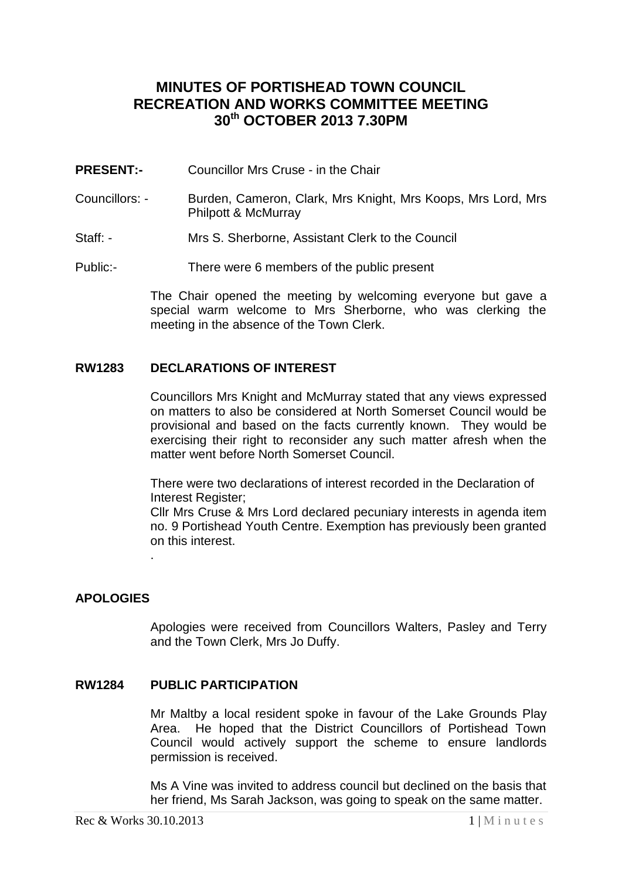# **MINUTES OF PORTISHEAD TOWN COUNCIL RECREATION AND WORKS COMMITTEE MEETING 30th OCTOBER 2013 7.30PM**

- **PRESENT:-** Councillor Mrs Cruse in the Chair
- Councillors: Burden, Cameron, Clark, Mrs Knight, Mrs Koops, Mrs Lord, Mrs Philpott & McMurray
- Staff: Mrs S. Sherborne, Assistant Clerk to the Council
- Public:- There were 6 members of the public present

The Chair opened the meeting by welcoming everyone but gave a special warm welcome to Mrs Sherborne, who was clerking the meeting in the absence of the Town Clerk.

### **RW1283 DECLARATIONS OF INTEREST**

Councillors Mrs Knight and McMurray stated that any views expressed on matters to also be considered at North Somerset Council would be provisional and based on the facts currently known. They would be exercising their right to reconsider any such matter afresh when the matter went before North Somerset Council.

There were two declarations of interest recorded in the Declaration of Interest Register;

Cllr Mrs Cruse & Mrs Lord declared pecuniary interests in agenda item no. 9 Portishead Youth Centre. Exemption has previously been granted on this interest.

# **APOLOGIES**

.

Apologies were received from Councillors Walters, Pasley and Terry and the Town Clerk, Mrs Jo Duffy.

### **RW1284 PUBLIC PARTICIPATION**

Mr Maltby a local resident spoke in favour of the Lake Grounds Play Area. He hoped that the District Councillors of Portishead Town Council would actively support the scheme to ensure landlords permission is received.

Ms A Vine was invited to address council but declined on the basis that her friend, Ms Sarah Jackson, was going to speak on the same matter.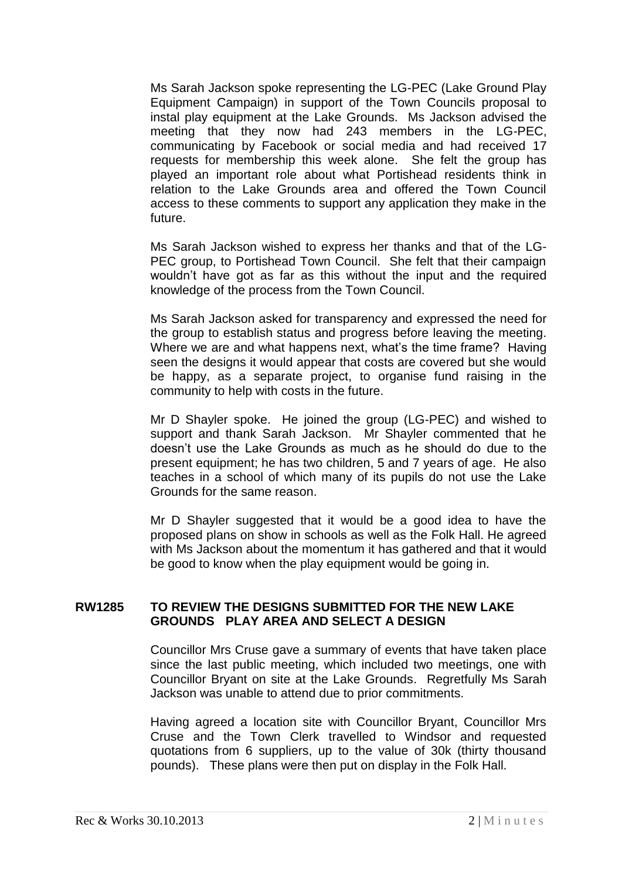Ms Sarah Jackson spoke representing the LG-PEC (Lake Ground Play Equipment Campaign) in support of the Town Councils proposal to instal play equipment at the Lake Grounds. Ms Jackson advised the meeting that they now had 243 members in the LG-PEC, communicating by Facebook or social media and had received 17 requests for membership this week alone. She felt the group has played an important role about what Portishead residents think in relation to the Lake Grounds area and offered the Town Council access to these comments to support any application they make in the future.

Ms Sarah Jackson wished to express her thanks and that of the LG-PEC group, to Portishead Town Council. She felt that their campaign wouldn't have got as far as this without the input and the required knowledge of the process from the Town Council.

Ms Sarah Jackson asked for transparency and expressed the need for the group to establish status and progress before leaving the meeting. Where we are and what happens next, what's the time frame? Having seen the designs it would appear that costs are covered but she would be happy, as a separate project, to organise fund raising in the community to help with costs in the future.

Mr D Shayler spoke. He joined the group (LG-PEC) and wished to support and thank Sarah Jackson. Mr Shayler commented that he doesn't use the Lake Grounds as much as he should do due to the present equipment; he has two children, 5 and 7 years of age. He also teaches in a school of which many of its pupils do not use the Lake Grounds for the same reason.

Mr D Shayler suggested that it would be a good idea to have the proposed plans on show in schools as well as the Folk Hall. He agreed with Ms Jackson about the momentum it has gathered and that it would be good to know when the play equipment would be going in.

### **RW1285 TO REVIEW THE DESIGNS SUBMITTED FOR THE NEW LAKE GROUNDS PLAY AREA AND SELECT A DESIGN**

Councillor Mrs Cruse gave a summary of events that have taken place since the last public meeting, which included two meetings, one with Councillor Bryant on site at the Lake Grounds. Regretfully Ms Sarah Jackson was unable to attend due to prior commitments.

Having agreed a location site with Councillor Bryant, Councillor Mrs Cruse and the Town Clerk travelled to Windsor and requested quotations from 6 suppliers, up to the value of 30k (thirty thousand pounds). These plans were then put on display in the Folk Hall.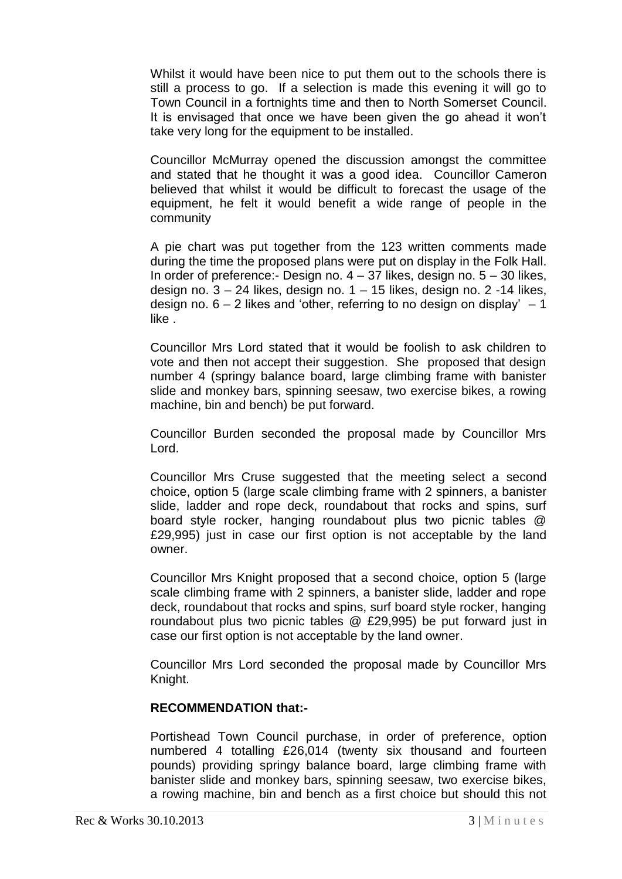Whilst it would have been nice to put them out to the schools there is still a process to go. If a selection is made this evening it will go to Town Council in a fortnights time and then to North Somerset Council. It is envisaged that once we have been given the go ahead it won't take very long for the equipment to be installed.

Councillor McMurray opened the discussion amongst the committee and stated that he thought it was a good idea. Councillor Cameron believed that whilst it would be difficult to forecast the usage of the equipment, he felt it would benefit a wide range of people in the community

A pie chart was put together from the 123 written comments made during the time the proposed plans were put on display in the Folk Hall. In order of preference:- Design no.  $4 - 37$  likes, design no.  $5 - 30$  likes, design no. 3 – 24 likes, design no. 1 – 15 likes, design no. 2 -14 likes, design no.  $6 - 2$  likes and 'other, referring to no design on display'  $-1$ like .

Councillor Mrs Lord stated that it would be foolish to ask children to vote and then not accept their suggestion. She proposed that design number 4 (springy balance board, large climbing frame with banister slide and monkey bars, spinning seesaw, two exercise bikes, a rowing machine, bin and bench) be put forward.

Councillor Burden seconded the proposal made by Councillor Mrs Lord.

Councillor Mrs Cruse suggested that the meeting select a second choice, option 5 (large scale climbing frame with 2 spinners, a banister slide, ladder and rope deck, roundabout that rocks and spins, surf board style rocker, hanging roundabout plus two picnic tables @ £29,995) just in case our first option is not acceptable by the land owner.

Councillor Mrs Knight proposed that a second choice, option 5 (large scale climbing frame with 2 spinners, a banister slide, ladder and rope deck, roundabout that rocks and spins, surf board style rocker, hanging roundabout plus two picnic tables @ £29,995) be put forward just in case our first option is not acceptable by the land owner.

Councillor Mrs Lord seconded the proposal made by Councillor Mrs Knight.

### **RECOMMENDATION that:-**

Portishead Town Council purchase, in order of preference, option numbered 4 totalling £26,014 (twenty six thousand and fourteen pounds) providing springy balance board, large climbing frame with banister slide and monkey bars, spinning seesaw, two exercise bikes, a rowing machine, bin and bench as a first choice but should this not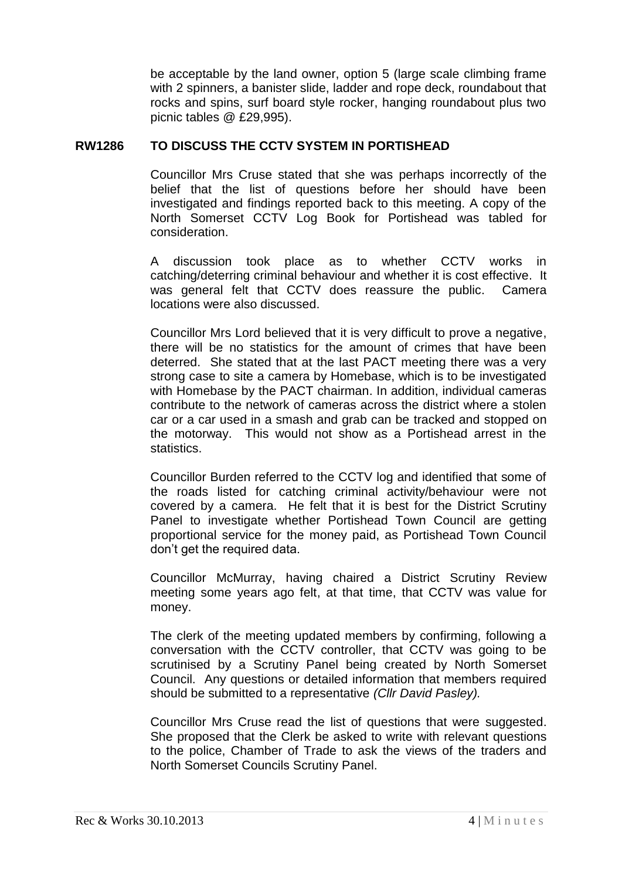be acceptable by the land owner, option 5 (large scale climbing frame with 2 spinners, a banister slide, ladder and rope deck, roundabout that rocks and spins, surf board style rocker, hanging roundabout plus two picnic tables @ £29,995).

### **RW1286 TO DISCUSS THE CCTV SYSTEM IN PORTISHEAD**

Councillor Mrs Cruse stated that she was perhaps incorrectly of the belief that the list of questions before her should have been investigated and findings reported back to this meeting. A copy of the North Somerset CCTV Log Book for Portishead was tabled for consideration.

A discussion took place as to whether CCTV works in catching/deterring criminal behaviour and whether it is cost effective. It was general felt that CCTV does reassure the public. Camera locations were also discussed.

Councillor Mrs Lord believed that it is very difficult to prove a negative, there will be no statistics for the amount of crimes that have been deterred. She stated that at the last PACT meeting there was a very strong case to site a camera by Homebase, which is to be investigated with Homebase by the PACT chairman. In addition, individual cameras contribute to the network of cameras across the district where a stolen car or a car used in a smash and grab can be tracked and stopped on the motorway. This would not show as a Portishead arrest in the statistics.

Councillor Burden referred to the CCTV log and identified that some of the roads listed for catching criminal activity/behaviour were not covered by a camera. He felt that it is best for the District Scrutiny Panel to investigate whether Portishead Town Council are getting proportional service for the money paid, as Portishead Town Council don't get the required data.

Councillor McMurray, having chaired a District Scrutiny Review meeting some years ago felt, at that time, that CCTV was value for money.

The clerk of the meeting updated members by confirming, following a conversation with the CCTV controller, that CCTV was going to be scrutinised by a Scrutiny Panel being created by North Somerset Council. Any questions or detailed information that members required should be submitted to a representative *(Cllr David Pasley).*

Councillor Mrs Cruse read the list of questions that were suggested. She proposed that the Clerk be asked to write with relevant questions to the police, Chamber of Trade to ask the views of the traders and North Somerset Councils Scrutiny Panel.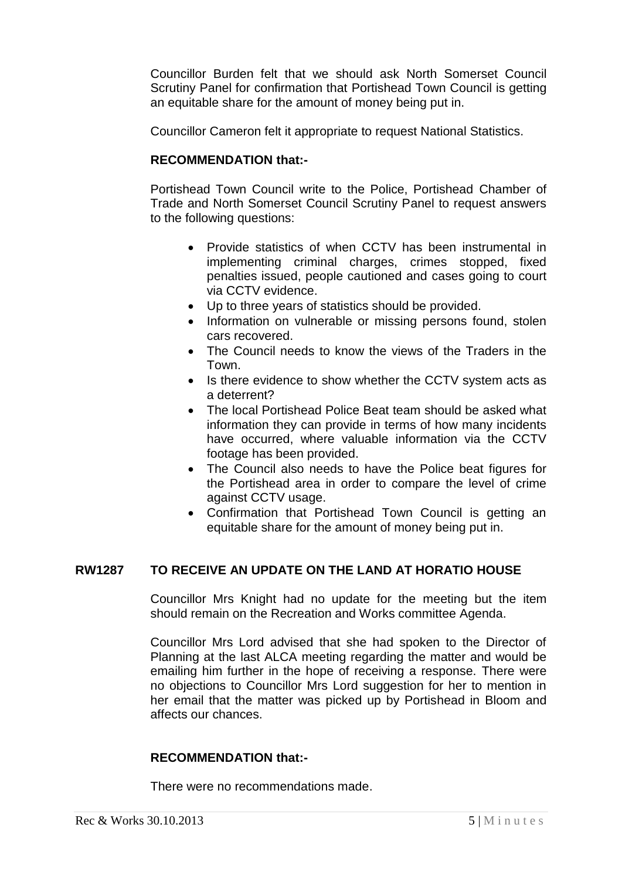Councillor Burden felt that we should ask North Somerset Council Scrutiny Panel for confirmation that Portishead Town Council is getting an equitable share for the amount of money being put in.

Councillor Cameron felt it appropriate to request National Statistics.

# **RECOMMENDATION that:-**

Portishead Town Council write to the Police, Portishead Chamber of Trade and North Somerset Council Scrutiny Panel to request answers to the following questions:

- Provide statistics of when CCTV has been instrumental in implementing criminal charges, crimes stopped, fixed penalties issued, people cautioned and cases going to court via CCTV evidence.
- Up to three years of statistics should be provided.
- Information on vulnerable or missing persons found, stolen cars recovered.
- The Council needs to know the views of the Traders in the Town.
- Is there evidence to show whether the CCTV system acts as a deterrent?
- The local Portishead Police Beat team should be asked what information they can provide in terms of how many incidents have occurred, where valuable information via the CCTV footage has been provided.
- The Council also needs to have the Police beat figures for the Portishead area in order to compare the level of crime against CCTV usage.
- Confirmation that Portishead Town Council is getting an equitable share for the amount of money being put in.

# **RW1287 TO RECEIVE AN UPDATE ON THE LAND AT HORATIO HOUSE**

Councillor Mrs Knight had no update for the meeting but the item should remain on the Recreation and Works committee Agenda.

Councillor Mrs Lord advised that she had spoken to the Director of Planning at the last ALCA meeting regarding the matter and would be emailing him further in the hope of receiving a response. There were no objections to Councillor Mrs Lord suggestion for her to mention in her email that the matter was picked up by Portishead in Bloom and affects our chances.

# **RECOMMENDATION that:-**

There were no recommendations made.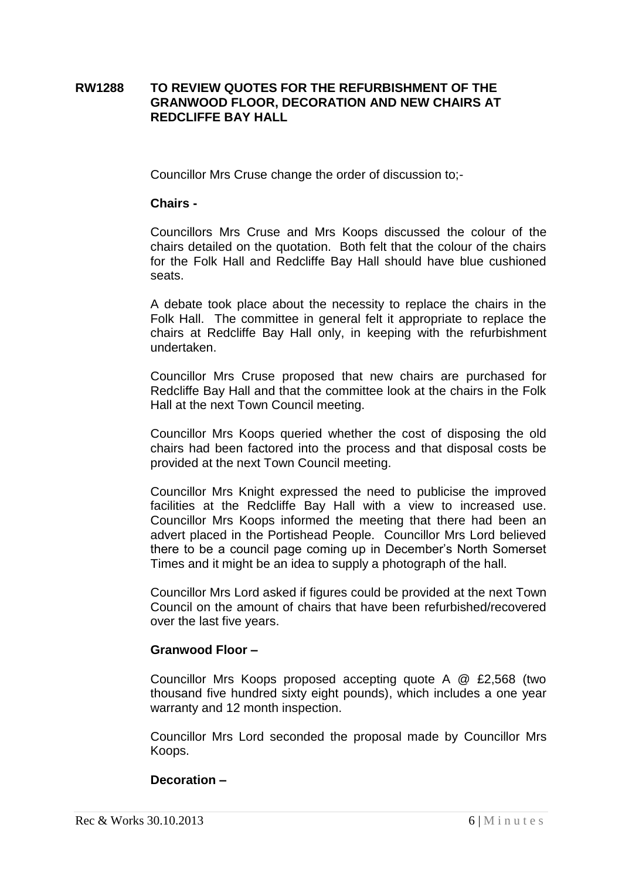### **RW1288 TO REVIEW QUOTES FOR THE REFURBISHMENT OF THE GRANWOOD FLOOR, DECORATION AND NEW CHAIRS AT REDCLIFFE BAY HALL**

Councillor Mrs Cruse change the order of discussion to;-

#### **Chairs -**

Councillors Mrs Cruse and Mrs Koops discussed the colour of the chairs detailed on the quotation. Both felt that the colour of the chairs for the Folk Hall and Redcliffe Bay Hall should have blue cushioned seats.

A debate took place about the necessity to replace the chairs in the Folk Hall. The committee in general felt it appropriate to replace the chairs at Redcliffe Bay Hall only, in keeping with the refurbishment undertaken.

Councillor Mrs Cruse proposed that new chairs are purchased for Redcliffe Bay Hall and that the committee look at the chairs in the Folk Hall at the next Town Council meeting.

Councillor Mrs Koops queried whether the cost of disposing the old chairs had been factored into the process and that disposal costs be provided at the next Town Council meeting.

Councillor Mrs Knight expressed the need to publicise the improved facilities at the Redcliffe Bay Hall with a view to increased use. Councillor Mrs Koops informed the meeting that there had been an advert placed in the Portishead People. Councillor Mrs Lord believed there to be a council page coming up in December's North Somerset Times and it might be an idea to supply a photograph of the hall.

Councillor Mrs Lord asked if figures could be provided at the next Town Council on the amount of chairs that have been refurbished/recovered over the last five years.

### **Granwood Floor –**

Councillor Mrs Koops proposed accepting quote A @ £2,568 (two thousand five hundred sixty eight pounds), which includes a one year warranty and 12 month inspection.

Councillor Mrs Lord seconded the proposal made by Councillor Mrs Koops.

### **Decoration –**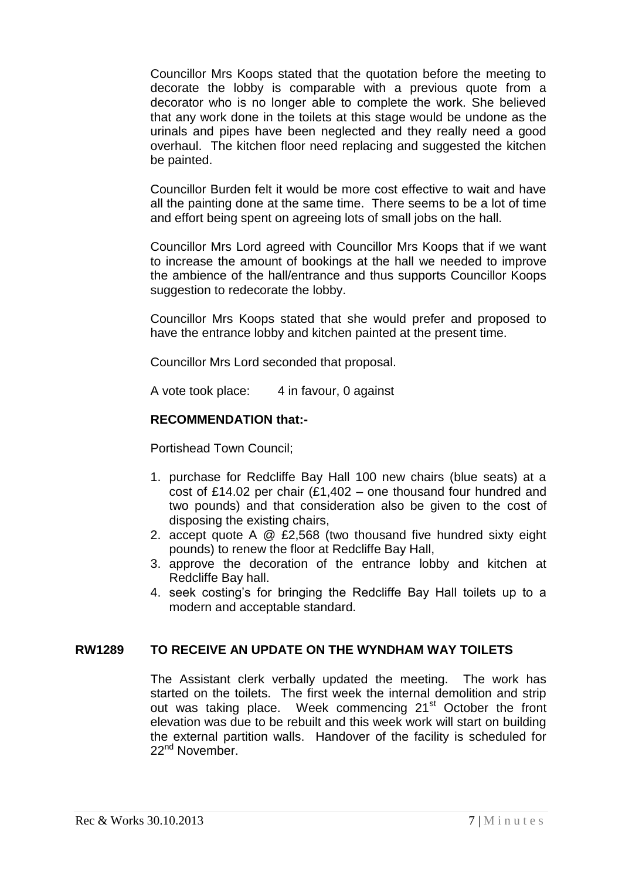Councillor Mrs Koops stated that the quotation before the meeting to decorate the lobby is comparable with a previous quote from a decorator who is no longer able to complete the work. She believed that any work done in the toilets at this stage would be undone as the urinals and pipes have been neglected and they really need a good overhaul. The kitchen floor need replacing and suggested the kitchen be painted.

Councillor Burden felt it would be more cost effective to wait and have all the painting done at the same time. There seems to be a lot of time and effort being spent on agreeing lots of small jobs on the hall.

Councillor Mrs Lord agreed with Councillor Mrs Koops that if we want to increase the amount of bookings at the hall we needed to improve the ambience of the hall/entrance and thus supports Councillor Koops suggestion to redecorate the lobby.

Councillor Mrs Koops stated that she would prefer and proposed to have the entrance lobby and kitchen painted at the present time.

Councillor Mrs Lord seconded that proposal.

A vote took place: 4 in favour, 0 against

### **RECOMMENDATION that:-**

Portishead Town Council;

- 1. purchase for Redcliffe Bay Hall 100 new chairs (blue seats) at a cost of £14.02 per chair (£1,402 – one thousand four hundred and two pounds) and that consideration also be given to the cost of disposing the existing chairs,
- 2. accept quote A @ £2,568 (two thousand five hundred sixty eight pounds) to renew the floor at Redcliffe Bay Hall,
- 3. approve the decoration of the entrance lobby and kitchen at Redcliffe Bay hall.
- 4. seek costing's for bringing the Redcliffe Bay Hall toilets up to a modern and acceptable standard.

### **RW1289 TO RECEIVE AN UPDATE ON THE WYNDHAM WAY TOILETS**

The Assistant clerk verbally updated the meeting. The work has started on the toilets. The first week the internal demolition and strip out was taking place. Week commencing 21<sup>st</sup> October the front elevation was due to be rebuilt and this week work will start on building the external partition walls. Handover of the facility is scheduled for 22<sup>nd</sup> November.